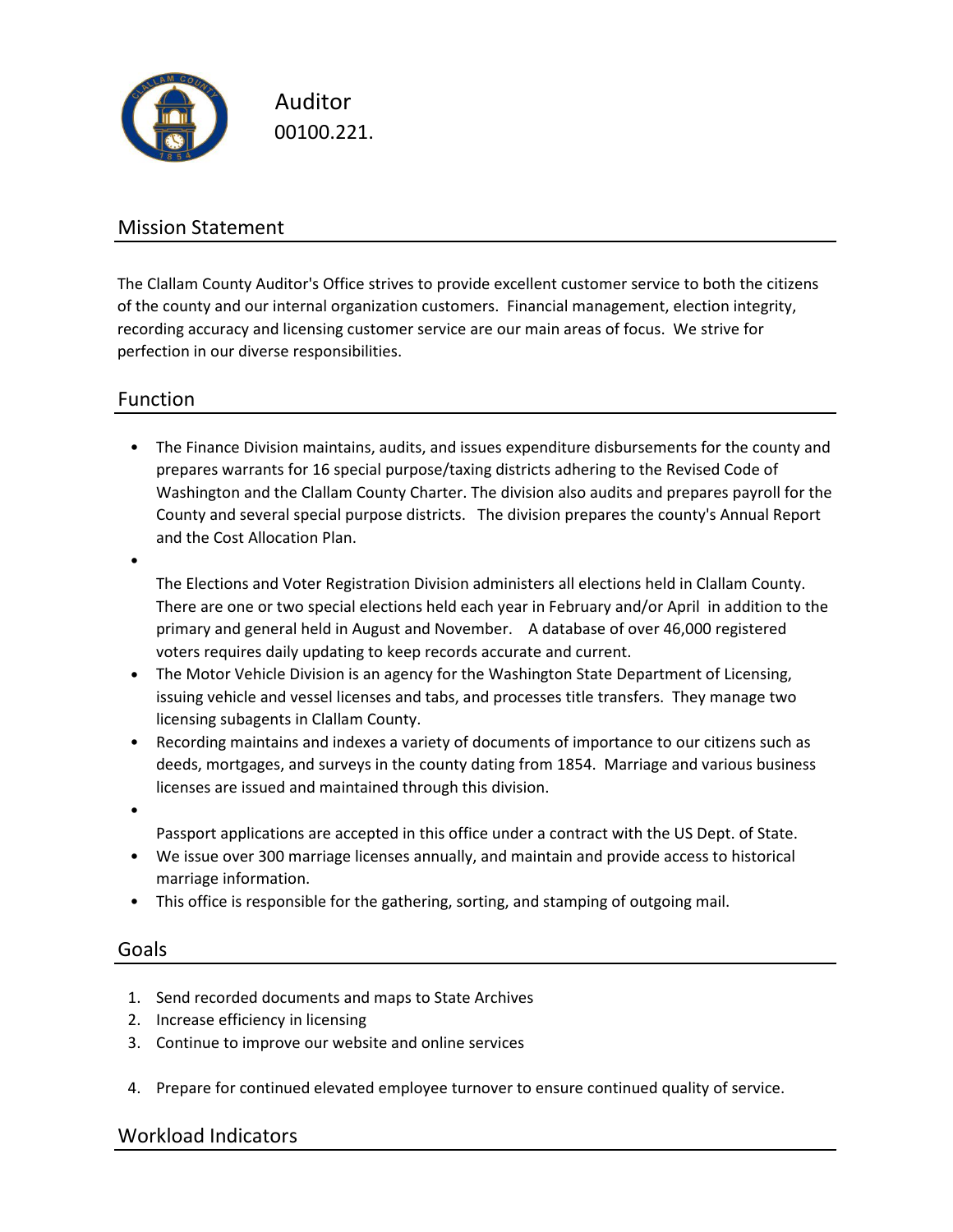

Auditor 00100.221.

## Mission Statement

The Clallam County Auditor's Office strives to provide excellent customer service to both the citizens of the county and our internal organization customers. Financial management, election integrity, recording accuracy and licensing customer service are our main areas of focus. We strive for perfection in our diverse responsibilities.

## Function

• The Finance Division maintains, audits, and issues expenditure disbursements for the county and prepares warrants for 16 special purpose/taxing districts adhering to the Revised Code of Washington and the Clallam County Charter. The division also audits and prepares payroll for the County and several special purpose districts. The division prepares the county's Annual Report and the Cost Allocation Plan.

The Elections and Voter Registration Division administers all elections held in Clallam County.

There are one or two special elections held each year in February and/or April in addition to the primary and general held in August and November. A database of over 46,000 registered voters requires daily updating to keep records accurate and current.

- The Motor Vehicle Division is an agency for the Washington State Department of Licensing, issuing vehicle and vessel licenses and tabs, and processes title transfers. They manage two licensing subagents in Clallam County.
- Recording maintains and indexes a variety of documents of importance to our citizens such as deeds, mortgages, and surveys in the county dating from 1854. Marriage and various business licenses are issued and maintained through this division.
- •

•

Passport applications are accepted in this office under a contract with the US Dept. of State.

- We issue over 300 marriage licenses annually, and maintain and provide access to historical marriage information.
- This office is responsible for the gathering, sorting, and stamping of outgoing mail.

### Goals

- 1. Send recorded documents and maps to State Archives
- 2. Increase efficiency in licensing
- 3. Continue to improve our website and online services
- 4. Prepare for continued elevated employee turnover to ensure continued quality of service.

## Workload Indicators